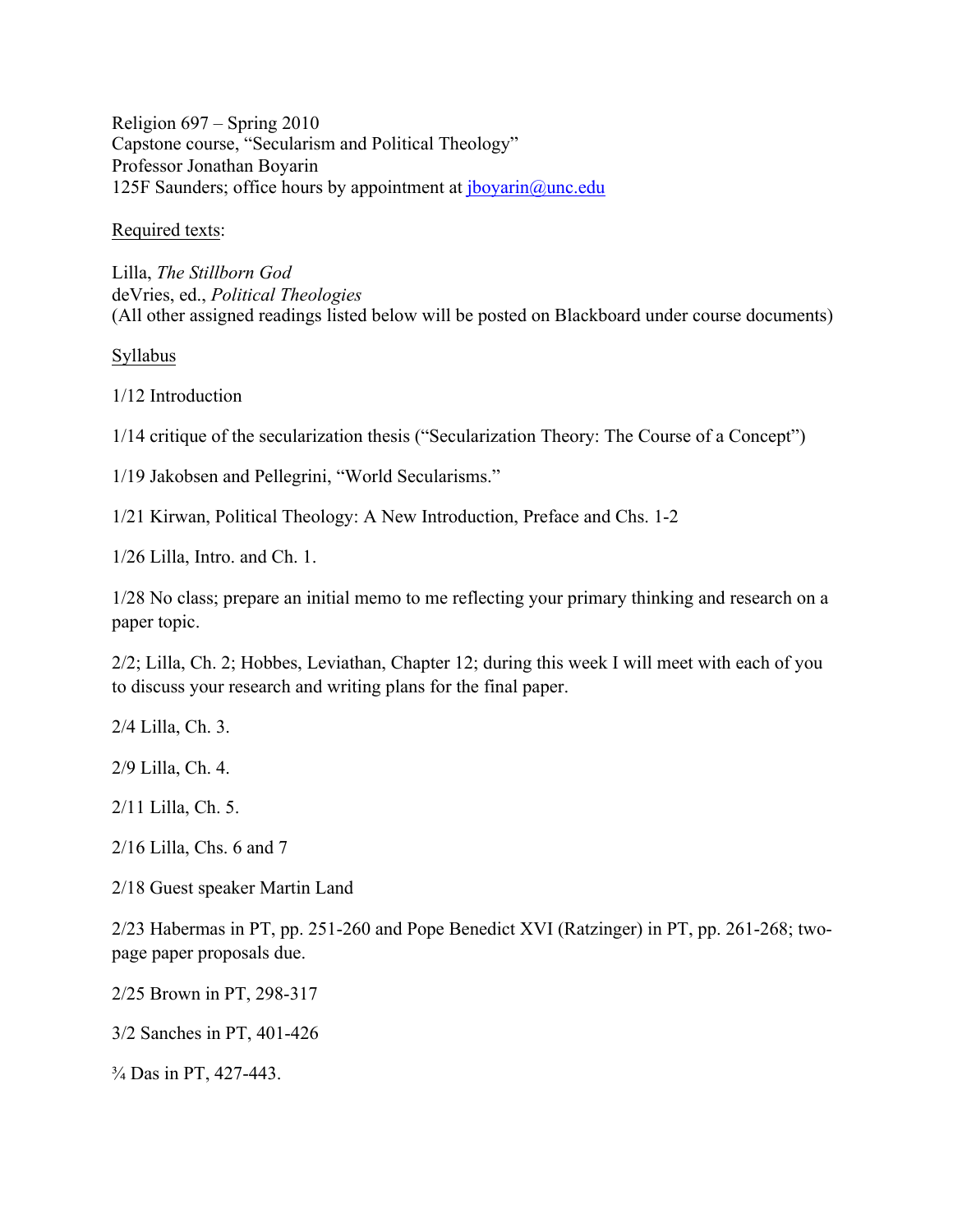Religion 697 – Spring 2010 Capstone course, "Secularism and Political Theology" Professor Jonathan Boyarin 125F Saunders; office hours by appointment at  $\frac{1}{2}$  boyarin $\omega$ unc.edu

Required texts:

Lilla, *The Stillborn God* deVries, ed., *Political Theologies* (All other assigned readings listed below will be posted on Blackboard under course documents)

Syllabus

1/12 Introduction

1/14 critique of the secularization thesis ("Secularization Theory: The Course of a Concept")

1/19 Jakobsen and Pellegrini, "World Secularisms."

1/21 Kirwan, Political Theology: A New Introduction, Preface and Chs. 1-2

1/26 Lilla, Intro. and Ch. 1.

1/28 No class; prepare an initial memo to me reflecting your primary thinking and research on a paper topic.

2/2; Lilla, Ch. 2; Hobbes, Leviathan, Chapter 12; during this week I will meet with each of you to discuss your research and writing plans for the final paper.

2/4 Lilla, Ch. 3.

2/9 Lilla, Ch. 4.

2/11 Lilla, Ch. 5.

2/16 Lilla, Chs. 6 and 7

2/18 Guest speaker Martin Land

2/23 Habermas in PT, pp. 251-260 and Pope Benedict XVI (Ratzinger) in PT, pp. 261-268; twopage paper proposals due.

2/25 Brown in PT, 298-317

3/2 Sanches in PT, 401-426

¾ Das in PT, 427-443.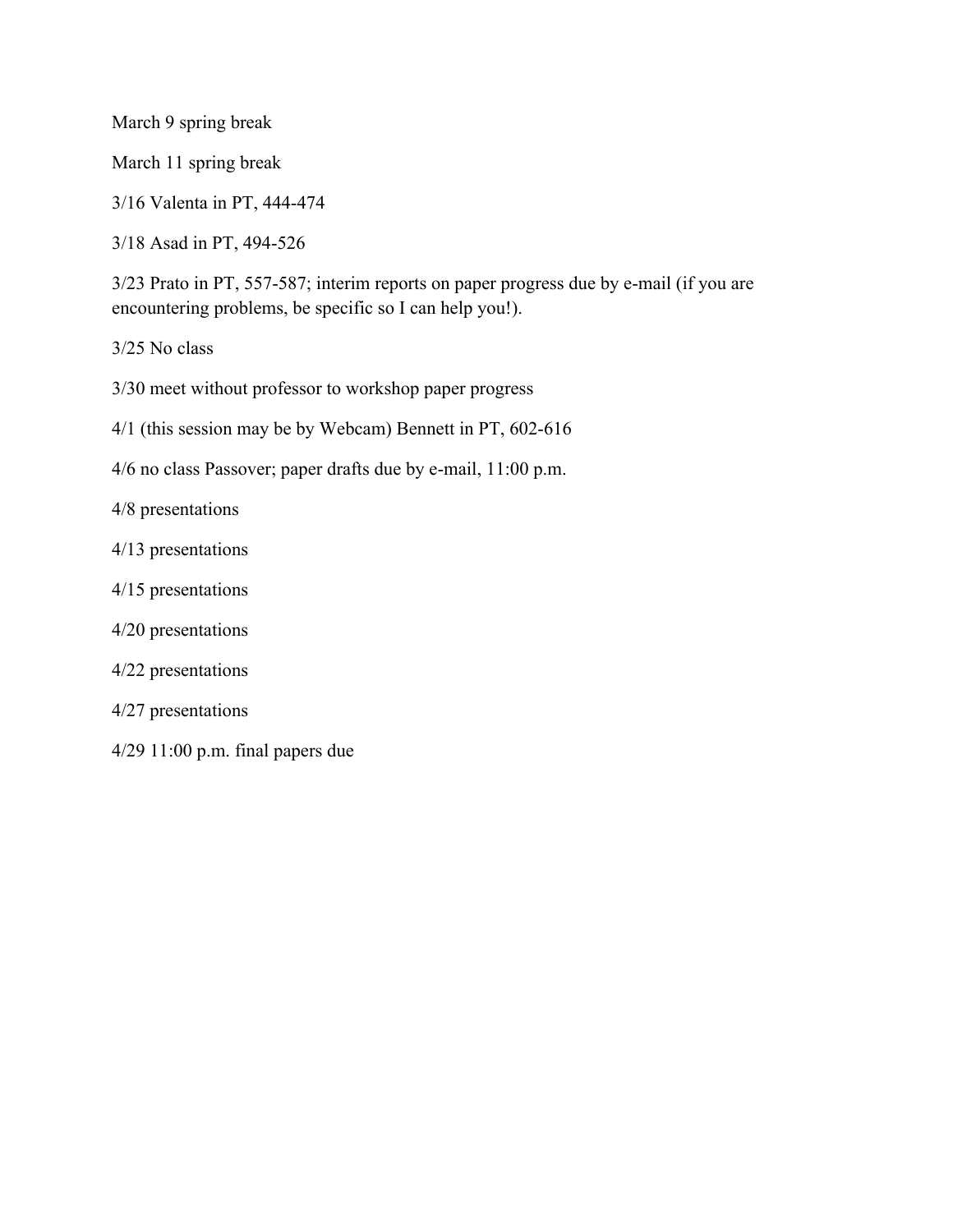March 9 spring break

March 11 spring break

3/16 Valenta in PT, 444-474

3/18 Asad in PT, 494-526

3/23 Prato in PT, 557-587; interim reports on paper progress due by e-mail (if you are encountering problems, be specific so I can help you!).

3/25 No class

3/30 meet without professor to workshop paper progress

4/1 (this session may be by Webcam) Bennett in PT, 602-616

4/6 no class Passover; paper drafts due by e-mail, 11:00 p.m.

4/8 presentations

- 4/13 presentations
- 4/15 presentations
- 4/20 presentations
- 4/22 presentations
- 4/27 presentations
- 4/29 11:00 p.m. final papers due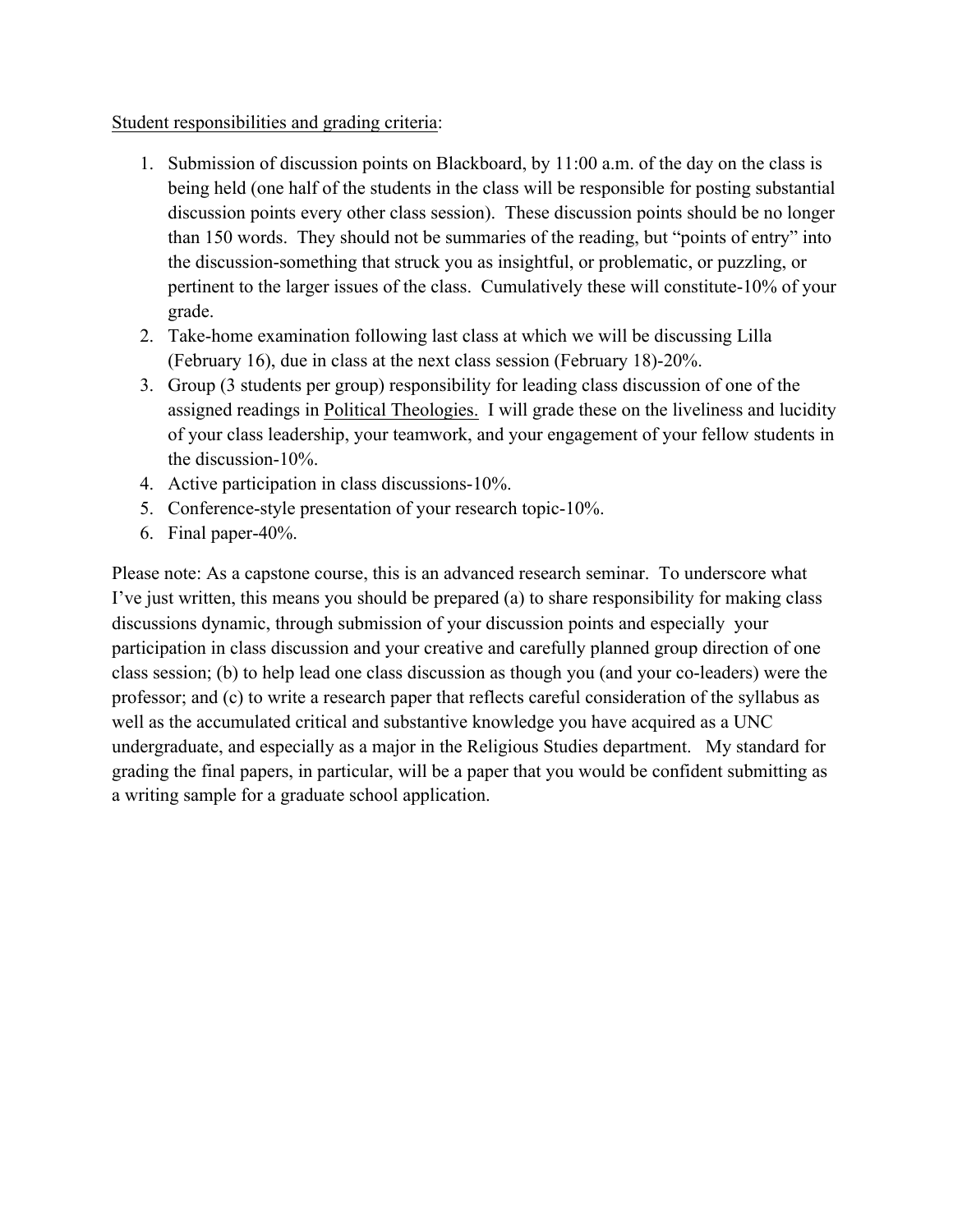#### Student responsibilities and grading criteria:

- 1. Submission of discussion points on Blackboard, by 11:00 a.m. of the day on the class is being held (one half of the students in the class will be responsible for posting substantial discussion points every other class session). These discussion points should be no longer than 150 words. They should not be summaries of the reading, but "points of entry" into the discussion-something that struck you as insightful, or problematic, or puzzling, or pertinent to the larger issues of the class. Cumulatively these will constitute-10% of your grade.
- 2. Take-home examination following last class at which we will be discussing Lilla (February 16), due in class at the next class session (February 18)-20%.
- 3. Group (3 students per group) responsibility for leading class discussion of one of the assigned readings in Political Theologies. I will grade these on the liveliness and lucidity of your class leadership, your teamwork, and your engagement of your fellow students in the discussion-10%.
- 4. Active participation in class discussions-10%.
- 5. Conference-style presentation of your research topic-10%.
- 6. Final paper-40%.

Please note: As a capstone course, this is an advanced research seminar. To underscore what I've just written, this means you should be prepared (a) to share responsibility for making class discussions dynamic, through submission of your discussion points and especially your participation in class discussion and your creative and carefully planned group direction of one class session; (b) to help lead one class discussion as though you (and your co-leaders) were the professor; and (c) to write a research paper that reflects careful consideration of the syllabus as well as the accumulated critical and substantive knowledge you have acquired as a UNC undergraduate, and especially as a major in the Religious Studies department. My standard for grading the final papers, in particular, will be a paper that you would be confident submitting as a writing sample for a graduate school application.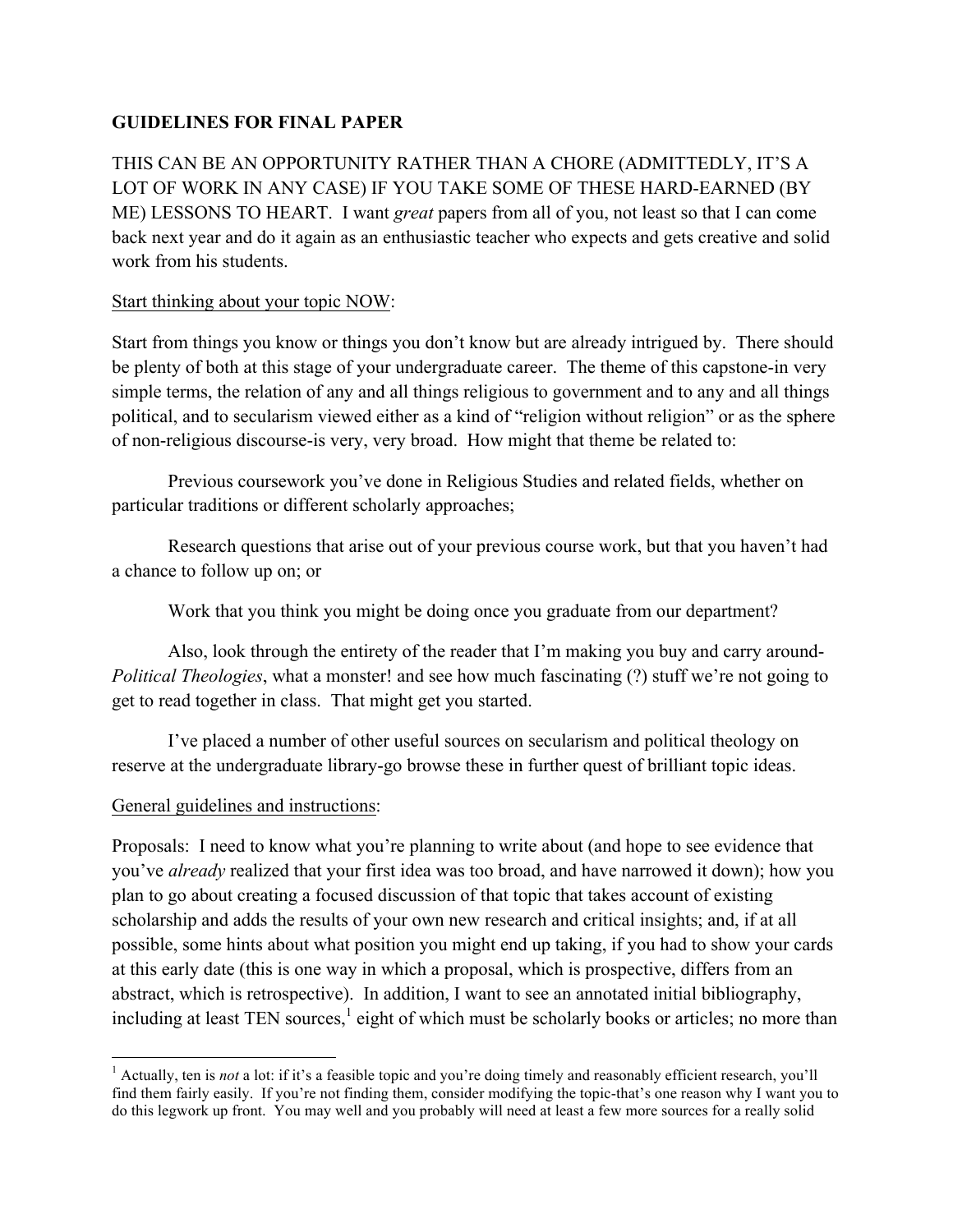# **GUIDELINES FOR FINAL PAPER**

THIS CAN BE AN OPPORTUNITY RATHER THAN A CHORE (ADMITTEDLY, IT'S A LOT OF WORK IN ANY CASE) IF YOU TAKE SOME OF THESE HARD-EARNED (BY ME) LESSONS TO HEART. I want *great* papers from all of you, not least so that I can come back next year and do it again as an enthusiastic teacher who expects and gets creative and solid work from his students.

#### Start thinking about your topic NOW:

Start from things you know or things you don't know but are already intrigued by. There should be plenty of both at this stage of your undergraduate career. The theme of this capstone-in very simple terms, the relation of any and all things religious to government and to any and all things political, and to secularism viewed either as a kind of "religion without religion" or as the sphere of non-religious discourse-is very, very broad. How might that theme be related to:

Previous coursework you've done in Religious Studies and related fields, whether on particular traditions or different scholarly approaches;

Research questions that arise out of your previous course work, but that you haven't had a chance to follow up on; or

Work that you think you might be doing once you graduate from our department?

Also, look through the entirety of the reader that I'm making you buy and carry around-*Political Theologies*, what a monster! and see how much fascinating (?) stuff we're not going to get to read together in class. That might get you started.

I've placed a number of other useful sources on secularism and political theology on reserve at the undergraduate library-go browse these in further quest of brilliant topic ideas.

## General guidelines and instructions:

 

Proposals: I need to know what you're planning to write about (and hope to see evidence that you've *already* realized that your first idea was too broad, and have narrowed it down); how you plan to go about creating a focused discussion of that topic that takes account of existing scholarship and adds the results of your own new research and critical insights; and, if at all possible, some hints about what position you might end up taking, if you had to show your cards at this early date (this is one way in which a proposal, which is prospective, differs from an abstract, which is retrospective). In addition, I want to see an annotated initial bibliography, including at least TEN sources, $<sup>1</sup>$  eight of which must be scholarly books or articles; no more than</sup>

<sup>1</sup> Actually, ten is *not* a lot: if it's a feasible topic and you're doing timely and reasonably efficient research, you'll find them fairly easily. If you're not finding them, consider modifying the topic-that's one reason why I want you to do this legwork up front. You may well and you probably will need at least a few more sources for a really solid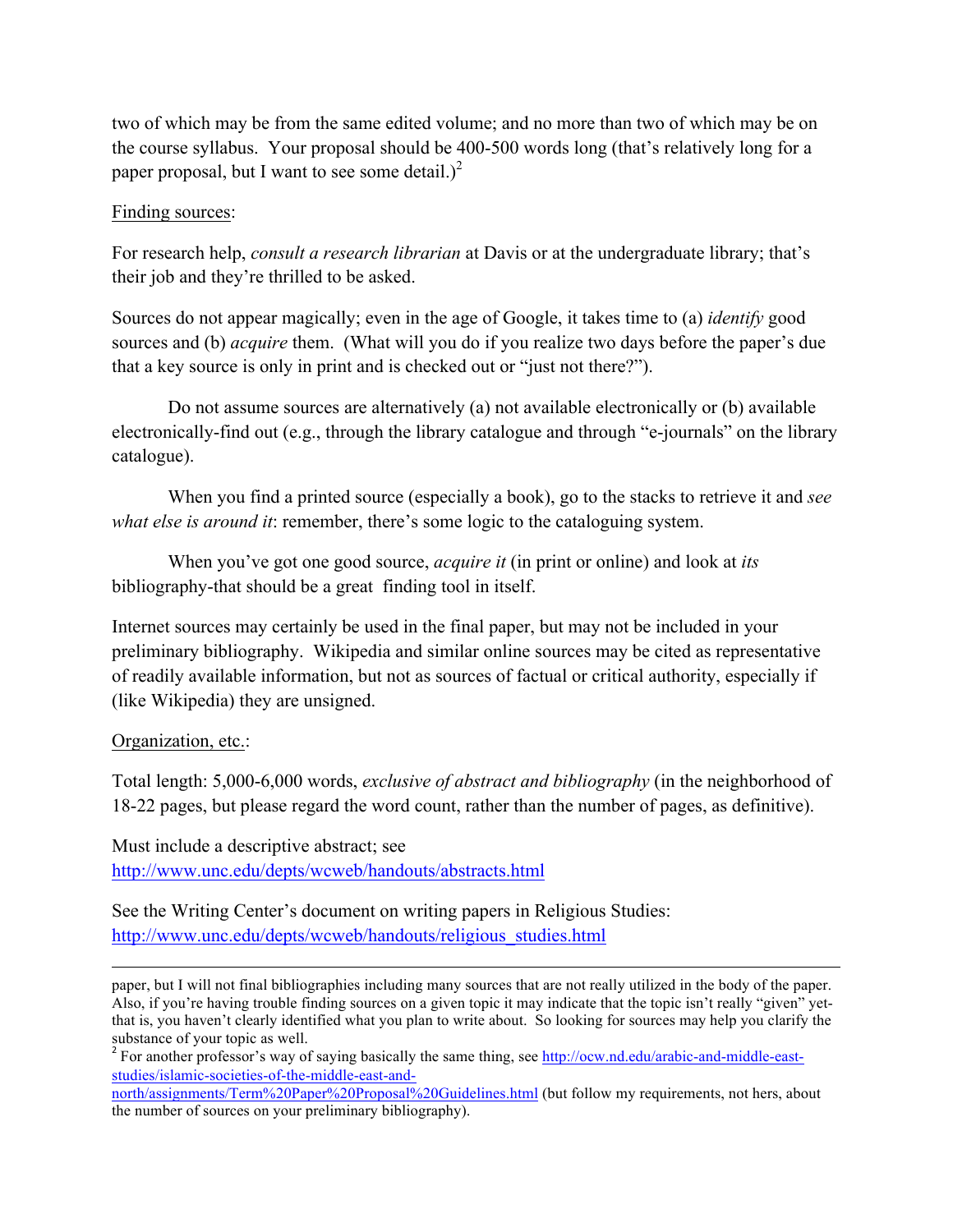two of which may be from the same edited volume; and no more than two of which may be on the course syllabus. Your proposal should be 400-500 words long (that's relatively long for a paper proposal, but I want to see some detail.)<sup>2</sup>

## Finding sources:

For research help, *consult a research librarian* at Davis or at the undergraduate library; that's their job and they're thrilled to be asked.

Sources do not appear magically; even in the age of Google, it takes time to (a) *identify* good sources and (b) *acquire* them. (What will you do if you realize two days before the paper's due that a key source is only in print and is checked out or "just not there?").

Do not assume sources are alternatively (a) not available electronically or (b) available electronically-find out (e.g., through the library catalogue and through "e-journals" on the library catalogue).

When you find a printed source (especially a book), go to the stacks to retrieve it and *see what else is around it*: remember, there's some logic to the cataloguing system.

When you've got one good source, *acquire it* (in print or online) and look at *its*  bibliography-that should be a great finding tool in itself.

Internet sources may certainly be used in the final paper, but may not be included in your preliminary bibliography. Wikipedia and similar online sources may be cited as representative of readily available information, but not as sources of factual or critical authority, especially if (like Wikipedia) they are unsigned.

## Organization, etc.:

Total length: 5,000-6,000 words, *exclusive of abstract and bibliography* (in the neighborhood of 18-22 pages, but please regard the word count, rather than the number of pages, as definitive).

Must include a descriptive abstract; see http://www.unc.edu/depts/wcweb/handouts/abstracts.html

See the Writing Center's document on writing papers in Religious Studies: http://www.unc.edu/depts/wcweb/handouts/religious\_studies.html

<u> 1989 - Andrea Santa Andrea Andrea Andrea Andrea Andrea Andrea Andrea Andrea Andrea Andrea Andrea Andrea Andr</u> paper, but I will not final bibliographies including many sources that are not really utilized in the body of the paper. Also, if you're having trouble finding sources on a given topic it may indicate that the topic isn't really "given" yetthat is, you haven't clearly identified what you plan to write about. So looking for sources may help you clarify the substance of your topic as well.

north/assignments/Term%20Paper%20Proposal%20Guidelines.html (but follow my requirements, not hers, about the number of sources on your preliminary bibliography).

<sup>&</sup>lt;sup>2</sup> For another professor's way of saying basically the same thing, see http://ocw.nd.edu/arabic-and-middle-eaststudies/islamic-societies-of-the-middle-east-and-